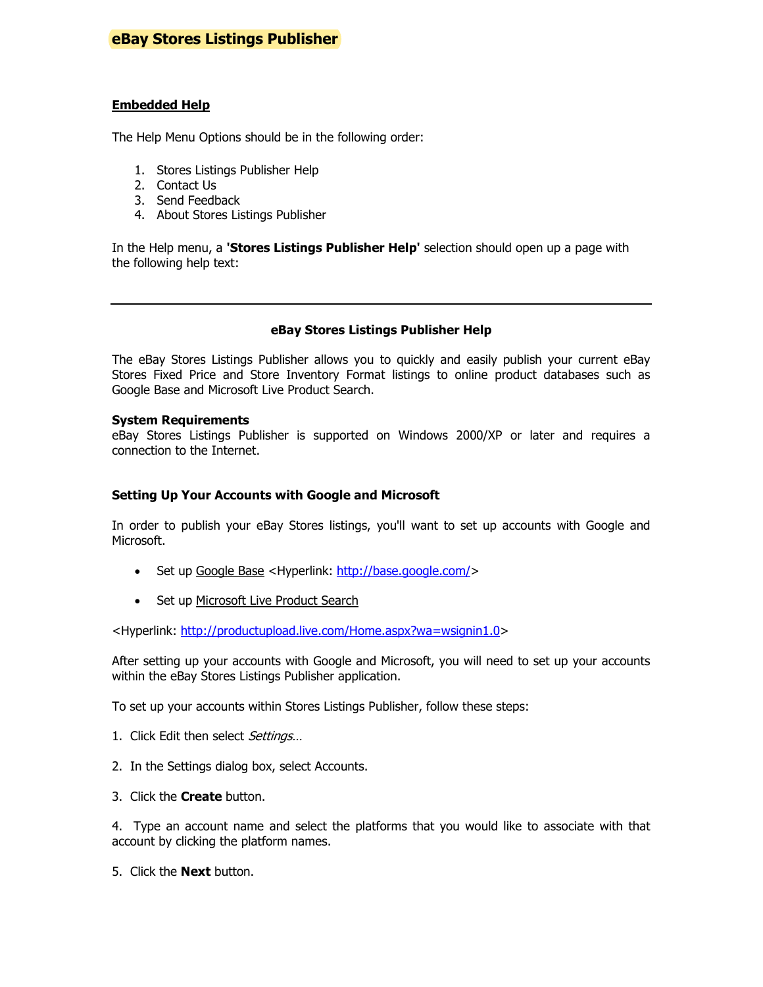# **eBay Stores Listings Publisher**

### Embedded Help

The Help Menu Options should be in the following order:

- 1. Stores Listings Publisher Help
- 2. Contact Us
- 3. Send Feedback
- 4. About Stores Listings Publisher

In the Help menu, a 'Stores Listings Publisher Help' selection should open up a page with the following help text:

### eBay Stores Listings Publisher Help

The eBay Stores Listings Publisher allows you to quickly and easily publish your current eBay Stores Fixed Price and Store Inventory Format listings to online product databases such as Google Base and Microsoft Live Product Search.

### System Requirements

eBay Stores Listings Publisher is supported on Windows 2000/XP or later and requires a connection to the Internet.

### Setting Up Your Accounts with Google and Microsoft

In order to publish your eBay Stores listings, you'll want to set up accounts with Google and Microsoft.

- Set up Google Base <Hyperlink: http://base.google.com/>
- Set up Microsoft Live Product Search

<Hyperlink: http://productupload.live.com/Home.aspx?wa=wsignin1.0>

After setting up your accounts with Google and Microsoft, you will need to set up your accounts within the eBay Stores Listings Publisher application.

To set up your accounts within Stores Listings Publisher, follow these steps:

- 1. Click Edit then select Settings...
- 2. In the Settings dialog box, select Accounts.
- 3. Click the **Create** button.

4. Type an account name and select the platforms that you would like to associate with that account by clicking the platform names.

5. Click the **Next** button.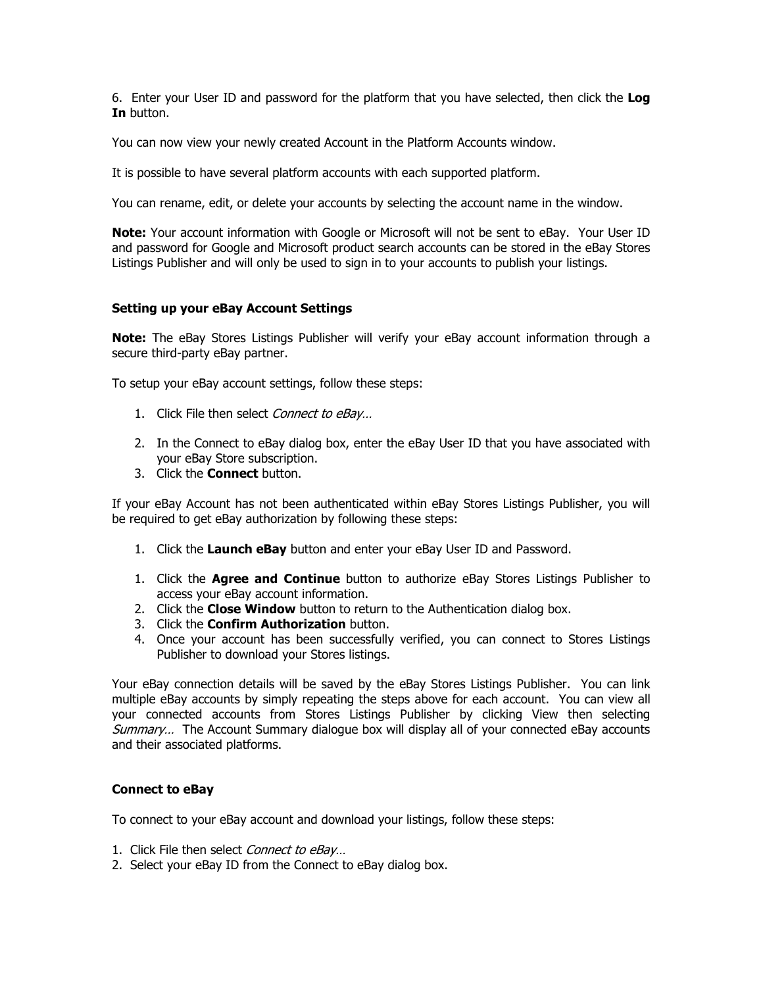6. Enter your User ID and password for the platform that you have selected, then click the Log In button.

You can now view your newly created Account in the Platform Accounts window.

It is possible to have several platform accounts with each supported platform.

You can rename, edit, or delete your accounts by selecting the account name in the window.

Note: Your account information with Google or Microsoft will not be sent to eBay. Your User ID and password for Google and Microsoft product search accounts can be stored in the eBay Stores Listings Publisher and will only be used to sign in to your accounts to publish your listings.

### Setting up your eBay Account Settings

Note: The eBay Stores Listings Publisher will verify your eBay account information through a secure third-party eBay partner.

To setup your eBay account settings, follow these steps:

- 1. Click File then select Connect to eBay...
- 2. In the Connect to eBay dialog box, enter the eBay User ID that you have associated with your eBay Store subscription.
- 3. Click the **Connect** button.

If your eBay Account has not been authenticated within eBay Stores Listings Publisher, you will be required to get eBay authorization by following these steps:

- 1. Click the Launch eBay button and enter your eBay User ID and Password.
- 1. Click the **Agree and Continue** button to authorize eBay Stores Listings Publisher to access your eBay account information.
- 2. Click the **Close Window** button to return to the Authentication dialog box.
- 3. Click the **Confirm Authorization** button.
- 4. Once your account has been successfully verified, you can connect to Stores Listings Publisher to download your Stores listings.

Your eBay connection details will be saved by the eBay Stores Listings Publisher. You can link multiple eBay accounts by simply repeating the steps above for each account. You can view all your connected accounts from Stores Listings Publisher by clicking View then selecting Summary... The Account Summary dialogue box will display all of your connected eBay accounts and their associated platforms.

### Connect to eBay

To connect to your eBay account and download your listings, follow these steps:

- 1. Click File then select Connect to eBay...
- 2. Select your eBay ID from the Connect to eBay dialog box.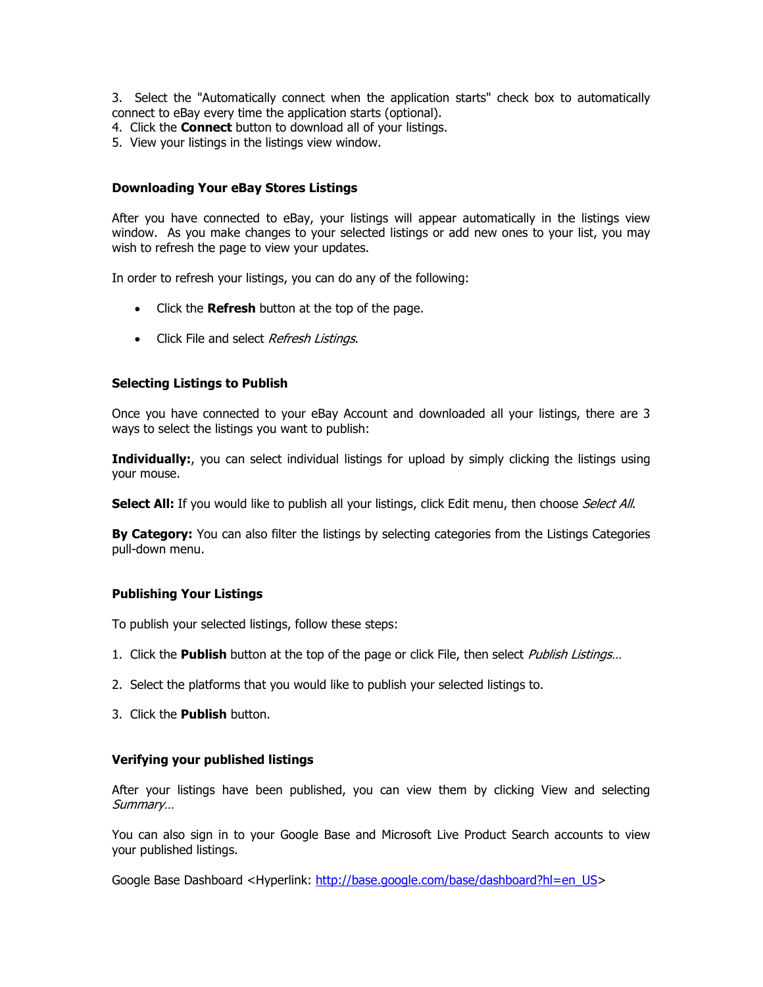3. Select the "Automatically connect when the application starts" check box to automatically connect to eBay every time the application starts (optional).

- 4. Click the **Connect** button to download all of your listings.
- 5. View your listings in the listings view window.

### Downloading Your eBay Stores Listings

After you have connected to eBay, your listings will appear automatically in the listings view window. As you make changes to your selected listings or add new ones to your list, you may wish to refresh the page to view your updates.

In order to refresh your listings, you can do any of the following:

- Click the **Refresh** button at the top of the page.
- Click File and select Refresh Listings.

### Selecting Listings to Publish

Once you have connected to your eBay Account and downloaded all your listings, there are 3 ways to select the listings you want to publish:

Individually:, you can select individual listings for upload by simply clicking the listings using your mouse.

Select All: If you would like to publish all your listings, click Edit menu, then choose Select All.

By Category: You can also filter the listings by selecting categories from the Listings Categories pull-down menu.

### Publishing Your Listings

To publish your selected listings, follow these steps:

- 1. Click the **Publish** button at the top of the page or click File, then select *Publish Listings...*
- 2. Select the platforms that you would like to publish your selected listings to.
- 3. Click the Publish button.

### Verifying your published listings

After your listings have been published, you can view them by clicking View and selecting Summary…

You can also sign in to your Google Base and Microsoft Live Product Search accounts to view your published listings.

Google Base Dashboard <Hyperlink: http://base.google.com/base/dashboard?hl=en\_US>